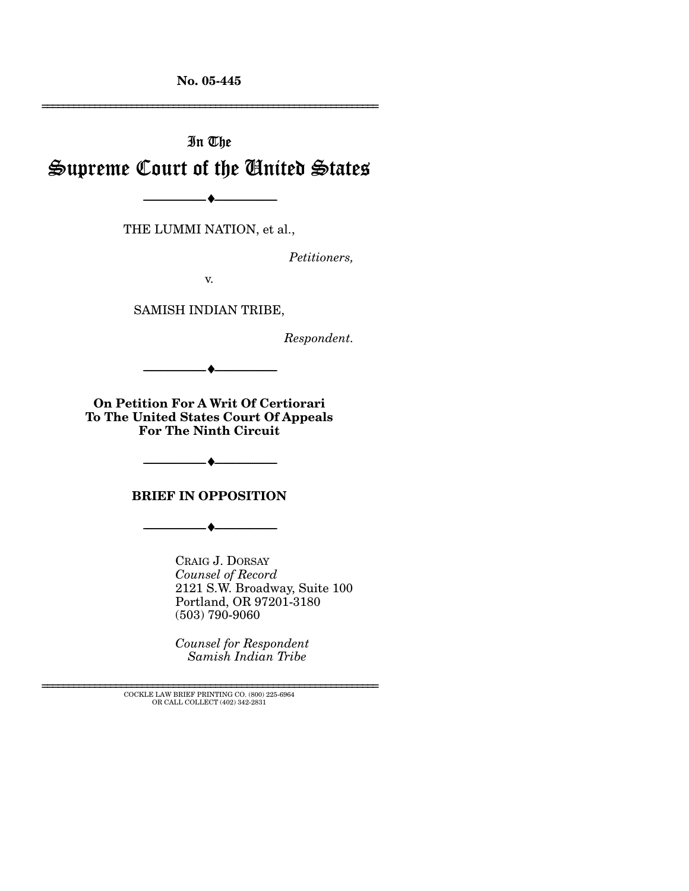**No. 05-445** 

# In The Supreme Court of the United States

THE LUMMI NATION, et al.,

--------------------------------- ♦ ---------------------------------

*Petitioners,* 

================================================================

v.

SAMISH INDIAN TRIBE,

*Respondent.* 

**On Petition For A Writ Of Certiorari To The United States Court Of Appeals For The Ninth Circuit** 

 $-+$ 

**BRIEF IN OPPOSITION** 

--------------------------------- ♦ ---------------------------------

CRAIG J. DORSAY *Counsel of Record* 2121 S.W. Broadway, Suite 100 Portland, OR 97201-3180 (503) 790-9060

*Counsel for Respondent Samish Indian Tribe* 

--------------------------------- ♦ ---------------------------------

================================================================ COCKLE LAW BRIEF PRINTING CO. (800) 225-6964 OR CALL COLLECT (402) 342-2831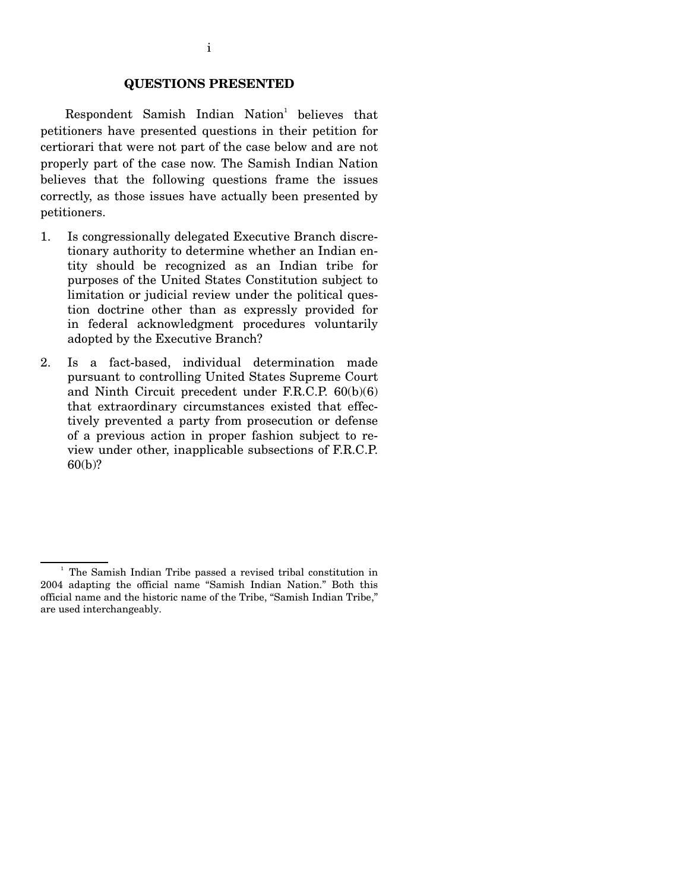#### **QUESTIONS PRESENTED**

 $Respondent$  Samish Indian Nation<sup>1</sup> believes that petitioners have presented questions in their petition for certiorari that were not part of the case below and are not properly part of the case now. The Samish Indian Nation believes that the following questions frame the issues correctly, as those issues have actually been presented by petitioners.

- 1. Is congressionally delegated Executive Branch discretionary authority to determine whether an Indian entity should be recognized as an Indian tribe for purposes of the United States Constitution subject to limitation or judicial review under the political question doctrine other than as expressly provided for in federal acknowledgment procedures voluntarily adopted by the Executive Branch?
- 2. Is a fact-based, individual determination made pursuant to controlling United States Supreme Court and Ninth Circuit precedent under F.R.C.P. 60(b)(6) that extraordinary circumstances existed that effectively prevented a party from prosecution or defense of a previous action in proper fashion subject to review under other, inapplicable subsections of F.R.C.P. 60(b)?

<sup>&</sup>lt;sup>1</sup> The Samish Indian Tribe passed a revised tribal constitution in 2004 adapting the official name "Samish Indian Nation." Both this official name and the historic name of the Tribe, "Samish Indian Tribe," are used interchangeably.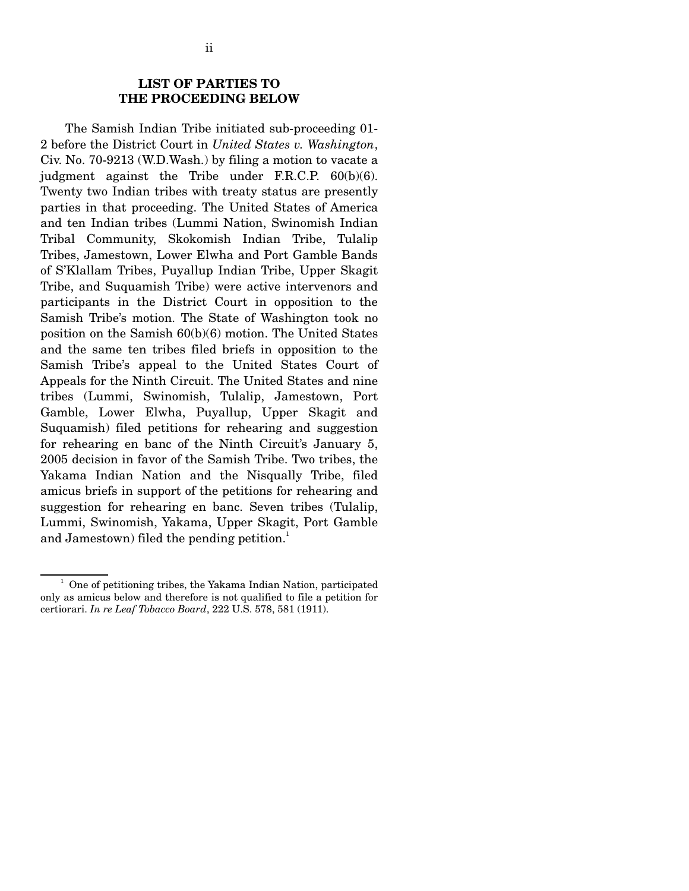#### **LIST OF PARTIES TO THE PROCEEDING BELOW**

 The Samish Indian Tribe initiated sub-proceeding 01- 2 before the District Court in *United States v. Washington*, Civ. No. 70-9213 (W.D.Wash.) by filing a motion to vacate a judgment against the Tribe under F.R.C.P. 60(b)(6). Twenty two Indian tribes with treaty status are presently parties in that proceeding. The United States of America and ten Indian tribes (Lummi Nation, Swinomish Indian Tribal Community, Skokomish Indian Tribe, Tulalip Tribes, Jamestown, Lower Elwha and Port Gamble Bands of S'Klallam Tribes, Puyallup Indian Tribe, Upper Skagit Tribe, and Suquamish Tribe) were active intervenors and participants in the District Court in opposition to the Samish Tribe's motion. The State of Washington took no position on the Samish 60(b)(6) motion. The United States and the same ten tribes filed briefs in opposition to the Samish Tribe's appeal to the United States Court of Appeals for the Ninth Circuit. The United States and nine tribes (Lummi, Swinomish, Tulalip, Jamestown, Port Gamble, Lower Elwha, Puyallup, Upper Skagit and Suquamish) filed petitions for rehearing and suggestion for rehearing en banc of the Ninth Circuit's January 5, 2005 decision in favor of the Samish Tribe. Two tribes, the Yakama Indian Nation and the Nisqually Tribe, filed amicus briefs in support of the petitions for rehearing and suggestion for rehearing en banc. Seven tribes (Tulalip, Lummi, Swinomish, Yakama, Upper Skagit, Port Gamble and Jamestown) filed the pending petition.<sup>1</sup>

<sup>&</sup>lt;sup>1</sup> One of petitioning tribes, the Yakama Indian Nation, participated only as amicus below and therefore is not qualified to file a petition for certiorari. *In re Leaf Tobacco Board*, 222 U.S. 578, 581 (1911).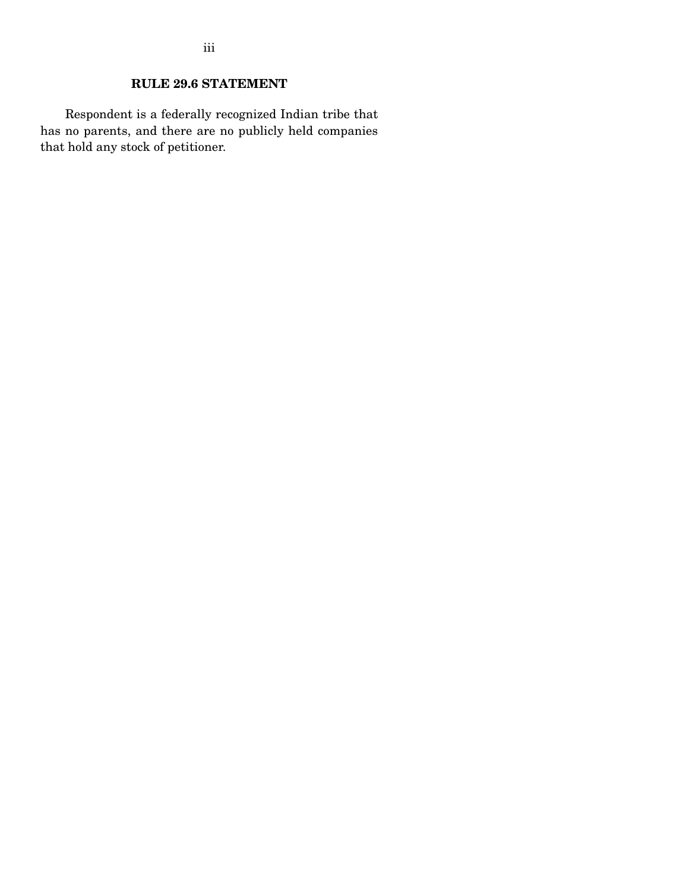### **RULE 29.6 STATEMENT**

 Respondent is a federally recognized Indian tribe that has no parents, and there are no publicly held companies that hold any stock of petitioner.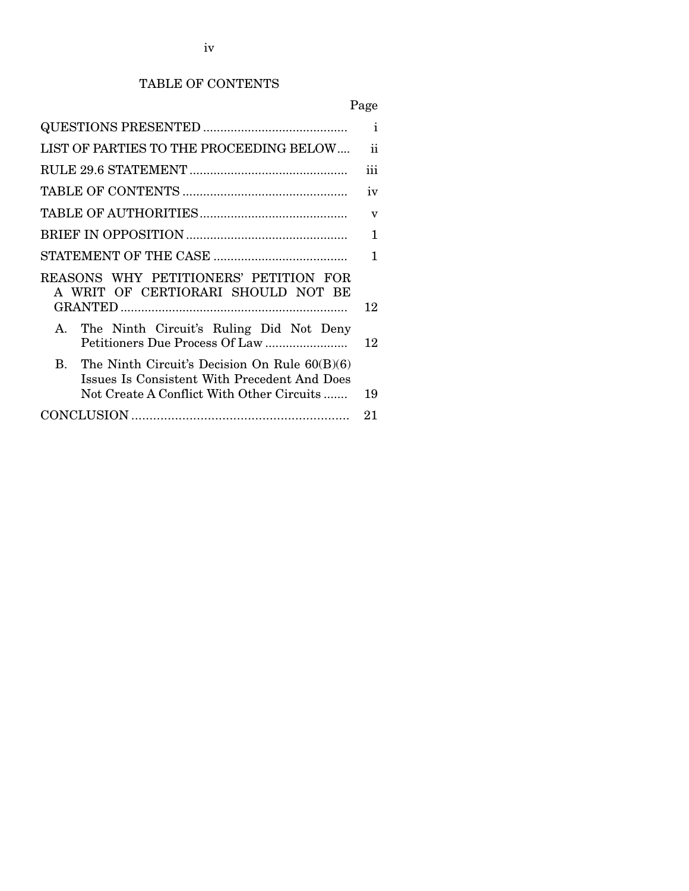### TABLE OF CONTENTS

# Page

|                                                                                                                                                 | $\mathbf{i}$            |
|-------------------------------------------------------------------------------------------------------------------------------------------------|-------------------------|
| LIST OF PARTIES TO THE PROCEEDING BELOW                                                                                                         | ii                      |
|                                                                                                                                                 | iii                     |
|                                                                                                                                                 | iv                      |
|                                                                                                                                                 | $\overline{\mathbf{V}}$ |
|                                                                                                                                                 | 1                       |
|                                                                                                                                                 | 1                       |
| REASONS WHY PETITIONERS' PETITION FOR<br>A WRIT OF CERTIORARI SHOULD NOT BE                                                                     | 12                      |
| A. The Ninth Circuit's Ruling Did Not Deny                                                                                                      | 12                      |
| B. The Ninth Circuit's Decision On Rule $60(B)(6)$<br>Issues Is Consistent With Precedent And Does<br>Not Create A Conflict With Other Circuits | 19                      |
|                                                                                                                                                 | 21                      |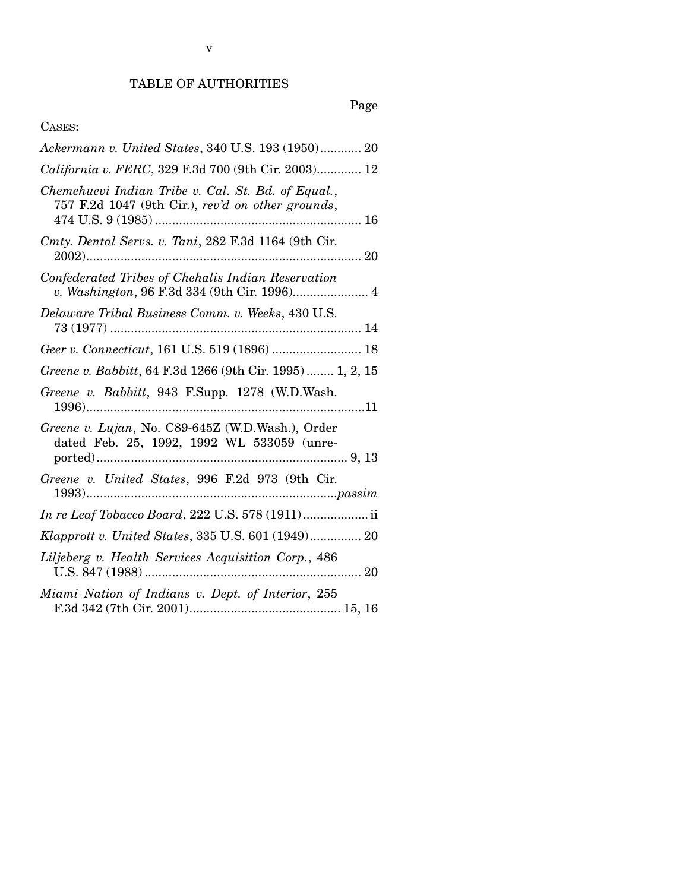## Page

### CASES:

| Ackermann v. United States, 340 U.S. 193 (1950) 20                                                      |
|---------------------------------------------------------------------------------------------------------|
| California v. FERC, 329 F.3d 700 (9th Cir. 2003) 12                                                     |
| Chemehuevi Indian Tribe v. Cal. St. Bd. of Equal.,<br>757 F.2d 1047 (9th Cir.), rev'd on other grounds, |
| Cmty. Dental Servs. v. Tani, 282 F.3d 1164 (9th Cir.                                                    |
| Confederated Tribes of Chehalis Indian Reservation                                                      |
| Delaware Tribal Business Comm. v. Weeks, 430 U.S.                                                       |
|                                                                                                         |
| Greene v. Babbitt, 64 F.3d 1266 (9th Cir. 1995) 1, 2, 15                                                |
| Greene v. Babbitt, 943 F.Supp. 1278 (W.D.Wash.                                                          |
| Greene v. Lujan, No. C89-645Z (W.D.Wash.), Order<br>dated Feb. 25, 1992, 1992 WL 533059 (unre-          |
| Greene v. United States, 996 F.2d 973 (9th Cir.                                                         |
| <i>In re Leaf Tobacco Board, 222 U.S. 578 (1911)</i> ii                                                 |
| Klapprott v. United States, 335 U.S. 601 (1949) 20                                                      |
| Liljeberg v. Health Services Acquisition Corp., 486                                                     |
| Miami Nation of Indians v. Dept. of Interior, 255                                                       |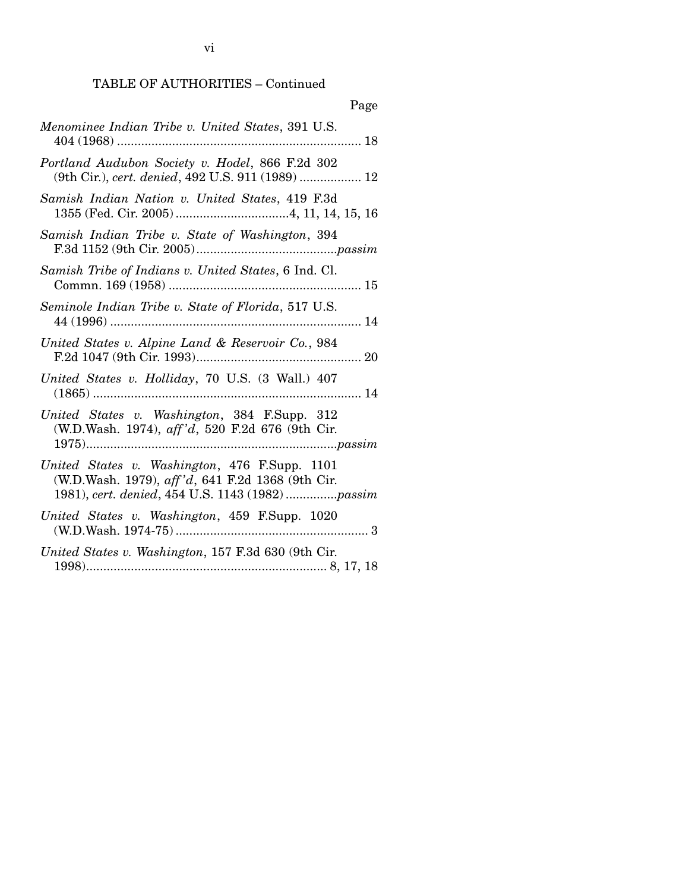vi

### TABLE OF AUTHORITIES – Continued

| Page                                                                                                                                                  |
|-------------------------------------------------------------------------------------------------------------------------------------------------------|
| Menominee Indian Tribe v. United States, 391 U.S.                                                                                                     |
| Portland Audubon Society v. Hodel, 866 F.2d 302<br>(9th Cir.), cert. denied, 492 U.S. 911 (1989)  12                                                  |
| Samish Indian Nation v. United States, 419 F.3d                                                                                                       |
| Samish Indian Tribe v. State of Washington, 394                                                                                                       |
| Samish Tribe of Indians v. United States, 6 Ind. Cl.                                                                                                  |
| Seminole Indian Tribe v. State of Florida, 517 U.S.                                                                                                   |
| United States v. Alpine Land & Reservoir Co., 984                                                                                                     |
| United States v. Holliday, 70 U.S. (3 Wall.) 407                                                                                                      |
| United States v. Washington, 384 F.Supp. 312<br>(W.D.Wash. 1974), aff'd, 520 F.2d 676 (9th Cir.                                                       |
| United States v. Washington, 476 F.Supp. 1101<br>(W.D.Wash. 1979), aff'd, 641 F.2d 1368 (9th Cir.<br>1981), cert. denied, 454 U.S. 1143 (1982) passim |
| United States v. Washington, 459 F.Supp. 1020                                                                                                         |
| United States v. Washington, 157 F.3d 630 (9th Cir.                                                                                                   |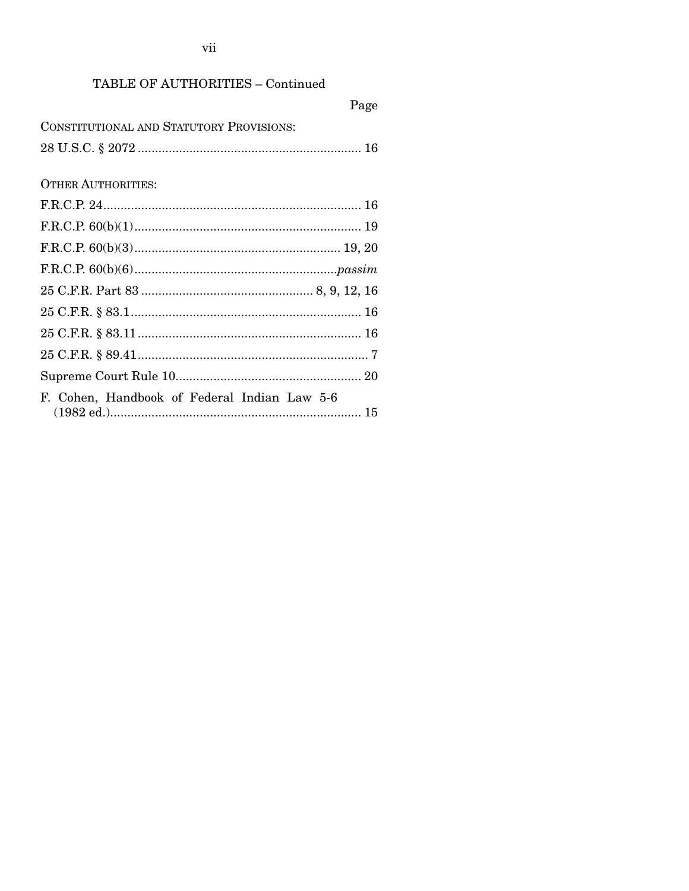vii

### TABLE OF AUTHORITIES - Continued

|                                              | Page |
|----------------------------------------------|------|
| CONSTITUTIONAL AND STATUTORY PROVISIONS:     |      |
|                                              |      |
|                                              |      |
| <b>OTHER AUTHORITIES:</b>                    |      |
|                                              |      |
|                                              |      |
|                                              |      |
|                                              |      |
|                                              |      |
|                                              |      |
|                                              |      |
|                                              |      |
|                                              |      |
| F. Cohen, Handbook of Federal Indian Law 5-6 |      |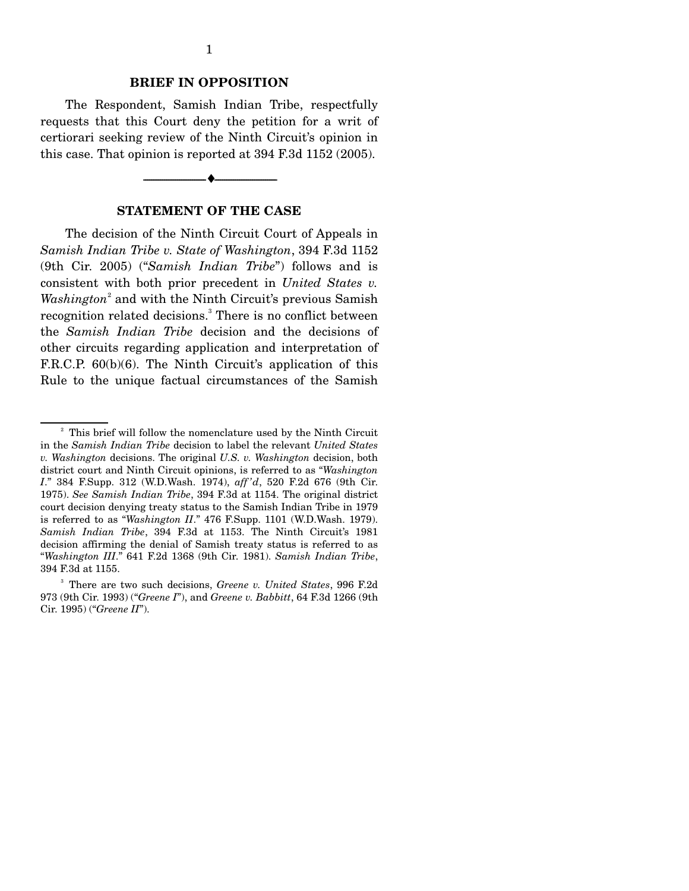#### **BRIEF IN OPPOSITION**

 The Respondent, Samish Indian Tribe, respectfully requests that this Court deny the petition for a writ of certiorari seeking review of the Ninth Circuit's opinion in this case. That opinion is reported at 394 F.3d 1152 (2005).

#### **STATEMENT OF THE CASE**

--------------------------------- ♦ ---------------------------------

 The decision of the Ninth Circuit Court of Appeals in *Samish Indian Tribe v. State of Washington*, 394 F.3d 1152 (9th Cir. 2005) ("*Samish Indian Tribe*") follows and is consistent with both prior precedent in *United States v.*  Washington<sup>2</sup> and with the Ninth Circuit's previous Samish recognition related decisions.<sup>3</sup> There is no conflict between the *Samish Indian Tribe* decision and the decisions of other circuits regarding application and interpretation of F.R.C.P. 60(b)(6). The Ninth Circuit's application of this Rule to the unique factual circumstances of the Samish

<sup>&</sup>lt;sup>2</sup> This brief will follow the nomenclature used by the Ninth Circuit in the *Samish Indian Tribe* decision to label the relevant *United States v. Washington* decisions. The original *U.S. v. Washington* decision, both district court and Ninth Circuit opinions, is referred to as "*Washington I*." 384 F.Supp. 312 (W.D.Wash. 1974), *aff 'd*, 520 F.2d 676 (9th Cir. 1975). *See Samish Indian Tribe*, 394 F.3d at 1154. The original district court decision denying treaty status to the Samish Indian Tribe in 1979 is referred to as "*Washington II*." 476 F.Supp. 1101 (W.D.Wash. 1979). *Samish Indian Tribe*, 394 F.3d at 1153. The Ninth Circuit's 1981 decision affirming the denial of Samish treaty status is referred to as "*Washington III*." 641 F.2d 1368 (9th Cir. 1981). *Samish Indian Tribe*, 394 F.3d at 1155.

<sup>3</sup> There are two such decisions, *Greene v. United States*, 996 F.2d 973 (9th Cir. 1993) ("*Greene I*"), and *Greene v. Babbitt*, 64 F.3d 1266 (9th Cir. 1995) ("*Greene II*").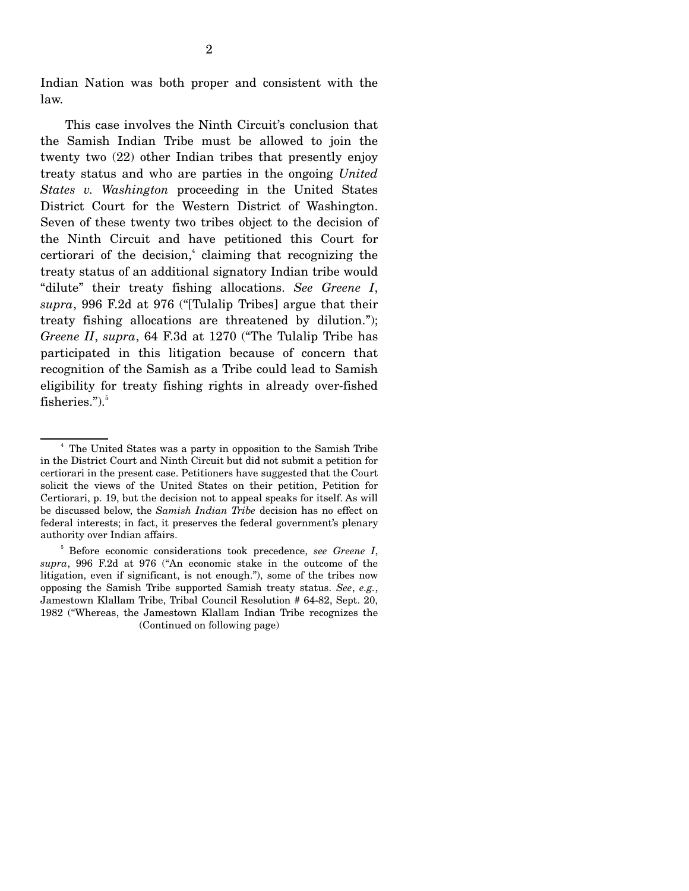Indian Nation was both proper and consistent with the law.

 This case involves the Ninth Circuit's conclusion that the Samish Indian Tribe must be allowed to join the twenty two (22) other Indian tribes that presently enjoy treaty status and who are parties in the ongoing *United States v. Washington* proceeding in the United States District Court for the Western District of Washington. Seven of these twenty two tribes object to the decision of the Ninth Circuit and have petitioned this Court for certiorari of the decision, $<sup>4</sup>$  claiming that recognizing the</sup> treaty status of an additional signatory Indian tribe would "dilute" their treaty fishing allocations. *See Greene I*, *supra*, 996 F.2d at 976 ("[Tulalip Tribes] argue that their treaty fishing allocations are threatened by dilution."); *Greene II*, *supra*, 64 F.3d at 1270 ("The Tulalip Tribe has participated in this litigation because of concern that recognition of the Samish as a Tribe could lead to Samish eligibility for treaty fishing rights in already over-fished fisheries." $)$ .

 $\sim$   $\frac{4}{3}$  The United States was a party in opposition to the Samish Tribe in the District Court and Ninth Circuit but did not submit a petition for certiorari in the present case. Petitioners have suggested that the Court solicit the views of the United States on their petition, Petition for Certiorari, p. 19, but the decision not to appeal speaks for itself. As will be discussed below, the *Samish Indian Tribe* decision has no effect on federal interests; in fact, it preserves the federal government's plenary authority over Indian affairs.

<sup>5</sup> Before economic considerations took precedence, *see Greene I*, *supra*, 996 F.2d at 976 ("An economic stake in the outcome of the litigation, even if significant, is not enough."), some of the tribes now opposing the Samish Tribe supported Samish treaty status. *See*, *e.g.*, Jamestown Klallam Tribe, Tribal Council Resolution # 64-82, Sept. 20, 1982 ("Whereas, the Jamestown Klallam Indian Tribe recognizes the (Continued on following page)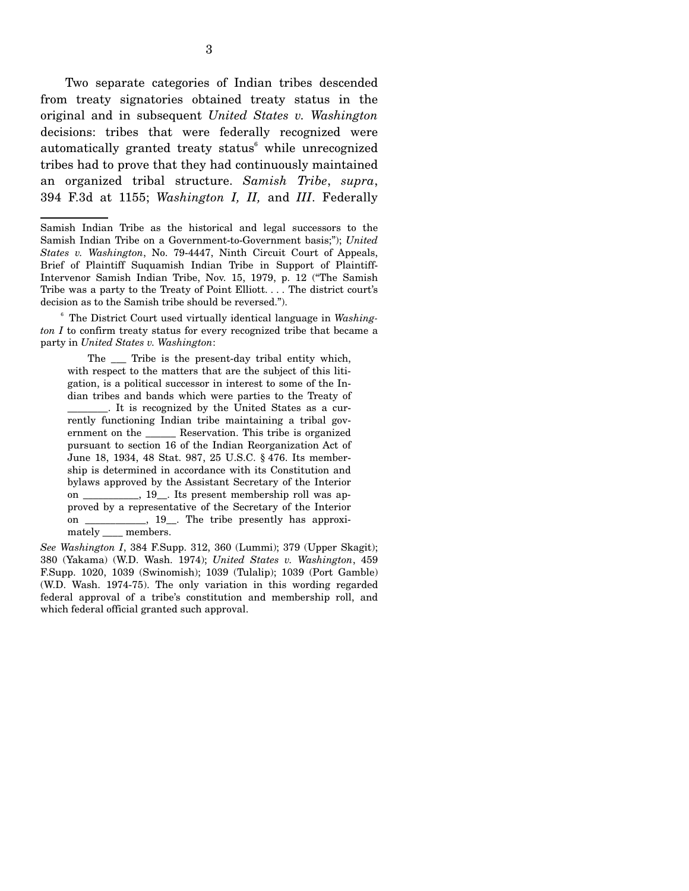Two separate categories of Indian tribes descended from treaty signatories obtained treaty status in the original and in subsequent *United States v. Washington* decisions: tribes that were federally recognized were automatically granted treaty status<sup>6</sup> while unrecognized tribes had to prove that they had continuously maintained an organized tribal structure. *Samish Tribe*, *supra*, 394 F.3d at 1155; *Washington I, II,* and *III*. Federally

 <sup>6</sup> The District Court used virtually identical language in *Washington I* to confirm treaty status for every recognized tribe that became a party in *United States v. Washington*:

The  $\quad$  Tribe is the present-day tribal entity which, with respect to the matters that are the subject of this litigation, is a political successor in interest to some of the Indian tribes and bands which were parties to the Treaty of \_\_\_\_\_\_\_\_. It is recognized by the United States as a currently functioning Indian tribe maintaining a tribal government on the \_\_\_\_\_\_ Reservation. This tribe is organized pursuant to section 16 of the Indian Reorganization Act of June 18, 1934, 48 Stat. 987, 25 U.S.C. § 476. Its membership is determined in accordance with its Constitution and bylaws approved by the Assistant Secretary of the Interior on \_\_\_\_\_\_\_\_\_\_\_, 19\_\_. Its present membership roll was approved by a representative of the Secretary of the Interior on \_\_\_\_\_\_\_\_\_\_\_\_, 19\_\_. The tribe presently has approximately members.

*See Washington I*, 384 F.Supp. 312, 360 (Lummi); 379 (Upper Skagit); 380 (Yakama) (W.D. Wash. 1974); *United States v. Washington*, 459 F.Supp. 1020, 1039 (Swinomish); 1039 (Tulalip); 1039 (Port Gamble) (W.D. Wash. 1974-75). The only variation in this wording regarded federal approval of a tribe's constitution and membership roll, and which federal official granted such approval.

Samish Indian Tribe as the historical and legal successors to the Samish Indian Tribe on a Government-to-Government basis;"); *United States v. Washington*, No. 79-4447, Ninth Circuit Court of Appeals, Brief of Plaintiff Suquamish Indian Tribe in Support of Plaintiff-Intervenor Samish Indian Tribe, Nov. 15, 1979, p. 12 ("The Samish Tribe was a party to the Treaty of Point Elliott. . . . The district court's decision as to the Samish tribe should be reversed.").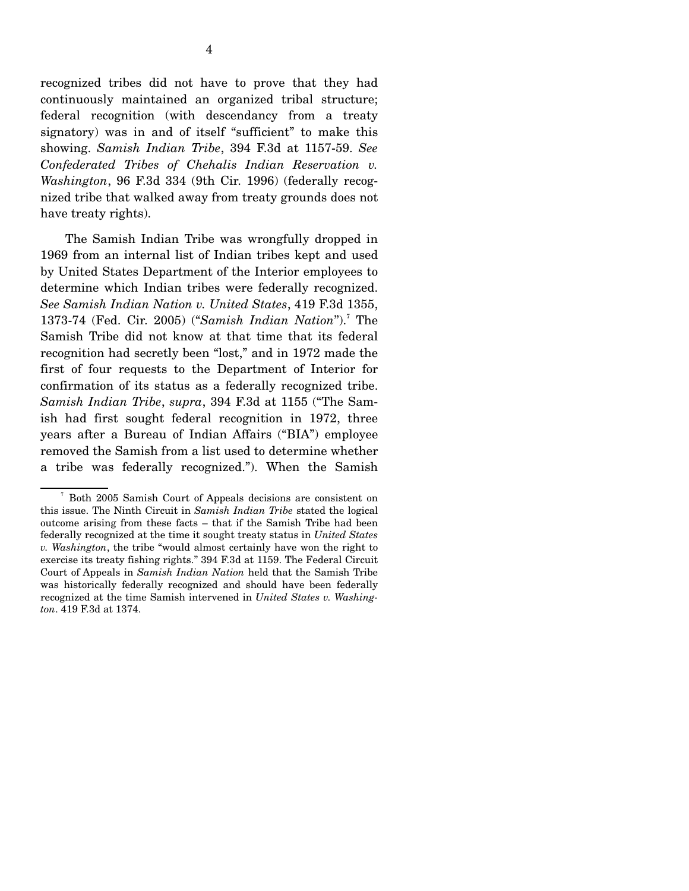recognized tribes did not have to prove that they had continuously maintained an organized tribal structure; federal recognition (with descendancy from a treaty signatory) was in and of itself "sufficient" to make this showing. *Samish Indian Tribe*, 394 F.3d at 1157-59. *See Confederated Tribes of Chehalis Indian Reservation v. Washington*, 96 F.3d 334 (9th Cir. 1996) (federally recognized tribe that walked away from treaty grounds does not have treaty rights).

 The Samish Indian Tribe was wrongfully dropped in 1969 from an internal list of Indian tribes kept and used by United States Department of the Interior employees to determine which Indian tribes were federally recognized. *See Samish Indian Nation v. United States*, 419 F.3d 1355, 1373-74 (Fed. Cir. 2005) ("Samish Indian Nation").<sup>7</sup> The Samish Tribe did not know at that time that its federal recognition had secretly been "lost," and in 1972 made the first of four requests to the Department of Interior for confirmation of its status as a federally recognized tribe. *Samish Indian Tribe*, *supra*, 394 F.3d at 1155 ("The Samish had first sought federal recognition in 1972, three years after a Bureau of Indian Affairs ("BIA") employee removed the Samish from a list used to determine whether a tribe was federally recognized."). When the Samish

<sup>7</sup> Both 2005 Samish Court of Appeals decisions are consistent on this issue. The Ninth Circuit in *Samish Indian Tribe* stated the logical outcome arising from these facts – that if the Samish Tribe had been federally recognized at the time it sought treaty status in *United States v. Washington*, the tribe "would almost certainly have won the right to exercise its treaty fishing rights." 394 F.3d at 1159. The Federal Circuit Court of Appeals in *Samish Indian Nation* held that the Samish Tribe was historically federally recognized and should have been federally recognized at the time Samish intervened in *United States v. Washington*. 419 F.3d at 1374.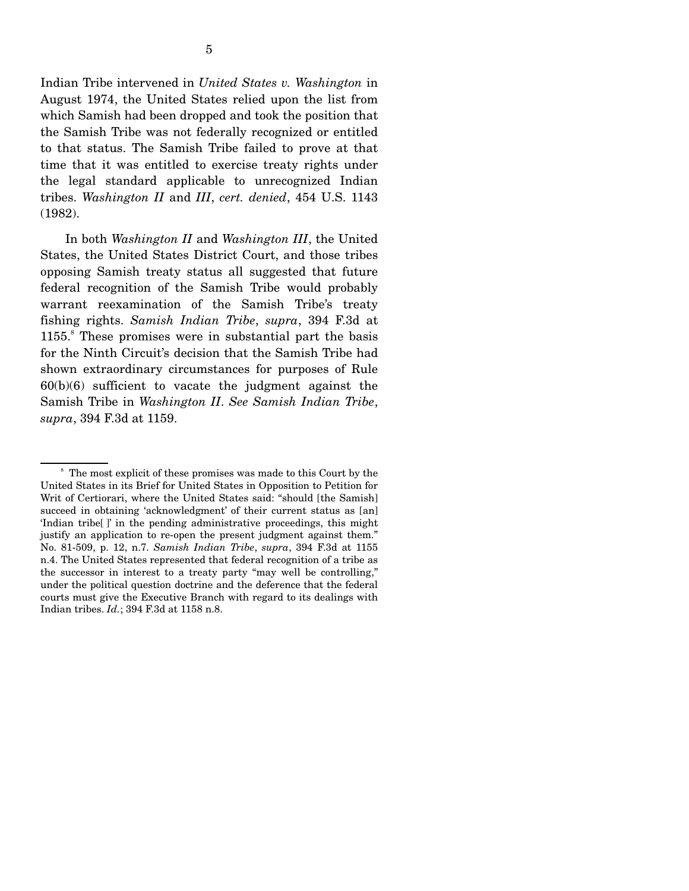Indian Tribe intervened in *United States v. Washington* in August 1974, the United States relied upon the list from which Samish had been dropped and took the position that the Samish Tribe was not federally recognized or entitled to that status. The Samish Tribe failed to prove at that time that it was entitled to exercise treaty rights under the legal standard applicable to unrecognized Indian tribes. *Washington II* and *III*, *cert. denied*, 454 U.S. 1143 (1982).

 In both *Washington II* and *Washington III*, the United States, the United States District Court, and those tribes opposing Samish treaty status all suggested that future federal recognition of the Samish Tribe would probably warrant reexamination of the Samish Tribe's treaty fishing rights. *Samish Indian Tribe*, *supra*, 394 F.3d at 1155.<sup>8</sup> These promises were in substantial part the basis for the Ninth Circuit's decision that the Samish Tribe had shown extraordinary circumstances for purposes of Rule  $60(b)(6)$  sufficient to vacate the judgment against the Samish Tribe in *Washington II*. *See Samish Indian Tribe*, *supra*, 394 F.3d at 1159.

<sup>&</sup>lt;sup>8</sup> The most explicit of these promises was made to this Court by the United States in its Brief for United States in Opposition to Petition for Writ of Certiorari, where the United States said: "should [the Samish] succeed in obtaining 'acknowledgment' of their current status as [an] 'Indian tribe[ ]' in the pending administrative proceedings, this might justify an application to re-open the present judgment against them." No. 81-509, p. 12, n.7. *Samish Indian Tribe*, *supra*, 394 F.3d at 1155 n.4. The United States represented that federal recognition of a tribe as the successor in interest to a treaty party "may well be controlling," under the political question doctrine and the deference that the federal courts must give the Executive Branch with regard to its dealings with Indian tribes. *Id.*; 394 F.3d at 1158 n.8.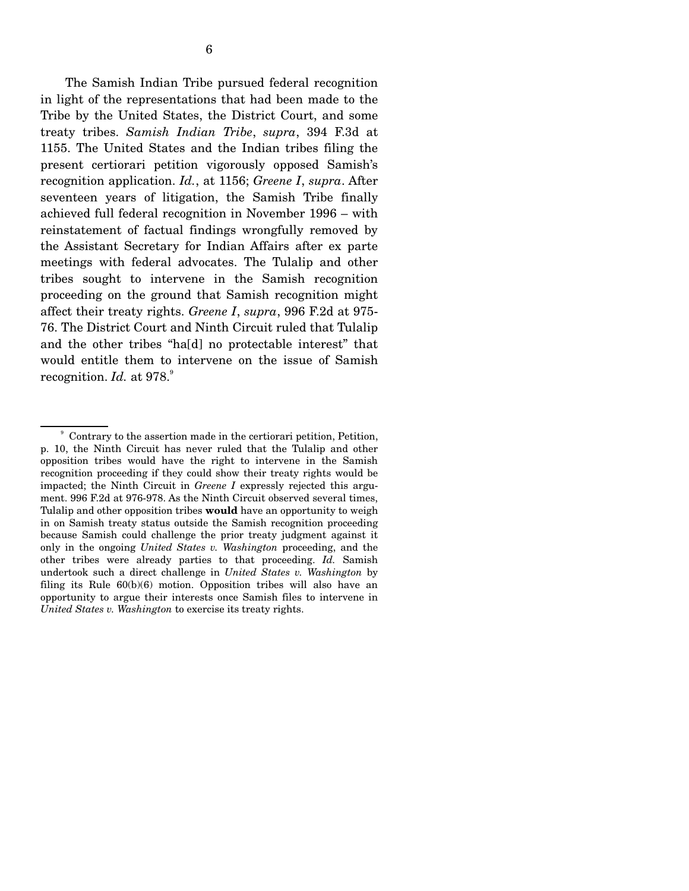The Samish Indian Tribe pursued federal recognition in light of the representations that had been made to the Tribe by the United States, the District Court, and some treaty tribes. *Samish Indian Tribe*, *supra*, 394 F.3d at 1155. The United States and the Indian tribes filing the present certiorari petition vigorously opposed Samish's recognition application. *Id.*, at 1156; *Greene I*, *supra*. After seventeen years of litigation, the Samish Tribe finally achieved full federal recognition in November 1996 – with reinstatement of factual findings wrongfully removed by the Assistant Secretary for Indian Affairs after ex parte meetings with federal advocates. The Tulalip and other tribes sought to intervene in the Samish recognition proceeding on the ground that Samish recognition might affect their treaty rights. *Greene I*, *supra*, 996 F.2d at 975- 76. The District Court and Ninth Circuit ruled that Tulalip and the other tribes "ha[d] no protectable interest" that would entitle them to intervene on the issue of Samish recognition.  $Id.$  at  $978.^\circ$ 

<sup>9</sup> Contrary to the assertion made in the certiorari petition, Petition, p. 10, the Ninth Circuit has never ruled that the Tulalip and other opposition tribes would have the right to intervene in the Samish recognition proceeding if they could show their treaty rights would be impacted; the Ninth Circuit in *Greene I* expressly rejected this argument. 996 F.2d at 976-978. As the Ninth Circuit observed several times, Tulalip and other opposition tribes **would** have an opportunity to weigh in on Samish treaty status outside the Samish recognition proceeding because Samish could challenge the prior treaty judgment against it only in the ongoing *United States v. Washington* proceeding, and the other tribes were already parties to that proceeding. *Id.* Samish undertook such a direct challenge in *United States v. Washington* by filing its Rule 60(b)(6) motion. Opposition tribes will also have an opportunity to argue their interests once Samish files to intervene in *United States v. Washington* to exercise its treaty rights.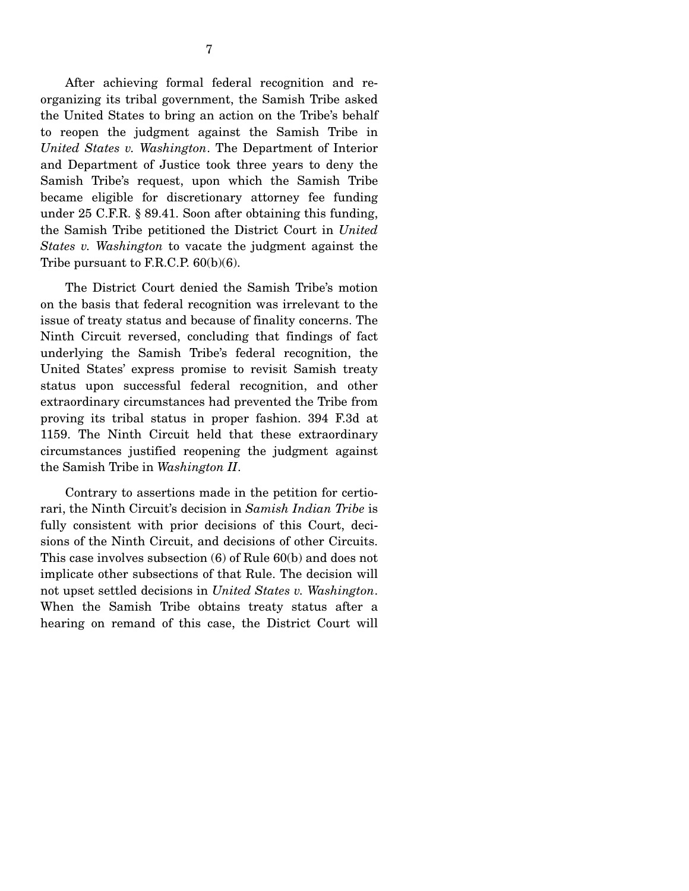After achieving formal federal recognition and reorganizing its tribal government, the Samish Tribe asked the United States to bring an action on the Tribe's behalf to reopen the judgment against the Samish Tribe in *United States v. Washington*. The Department of Interior and Department of Justice took three years to deny the Samish Tribe's request, upon which the Samish Tribe became eligible for discretionary attorney fee funding under 25 C.F.R. § 89.41. Soon after obtaining this funding, the Samish Tribe petitioned the District Court in *United States v. Washington* to vacate the judgment against the Tribe pursuant to F.R.C.P. 60(b)(6).

 The District Court denied the Samish Tribe's motion on the basis that federal recognition was irrelevant to the issue of treaty status and because of finality concerns. The Ninth Circuit reversed, concluding that findings of fact underlying the Samish Tribe's federal recognition, the United States' express promise to revisit Samish treaty status upon successful federal recognition, and other extraordinary circumstances had prevented the Tribe from proving its tribal status in proper fashion. 394 F.3d at 1159. The Ninth Circuit held that these extraordinary circumstances justified reopening the judgment against the Samish Tribe in *Washington II*.

 Contrary to assertions made in the petition for certiorari, the Ninth Circuit's decision in *Samish Indian Tribe* is fully consistent with prior decisions of this Court, decisions of the Ninth Circuit, and decisions of other Circuits. This case involves subsection (6) of Rule 60(b) and does not implicate other subsections of that Rule. The decision will not upset settled decisions in *United States v. Washington*. When the Samish Tribe obtains treaty status after a hearing on remand of this case, the District Court will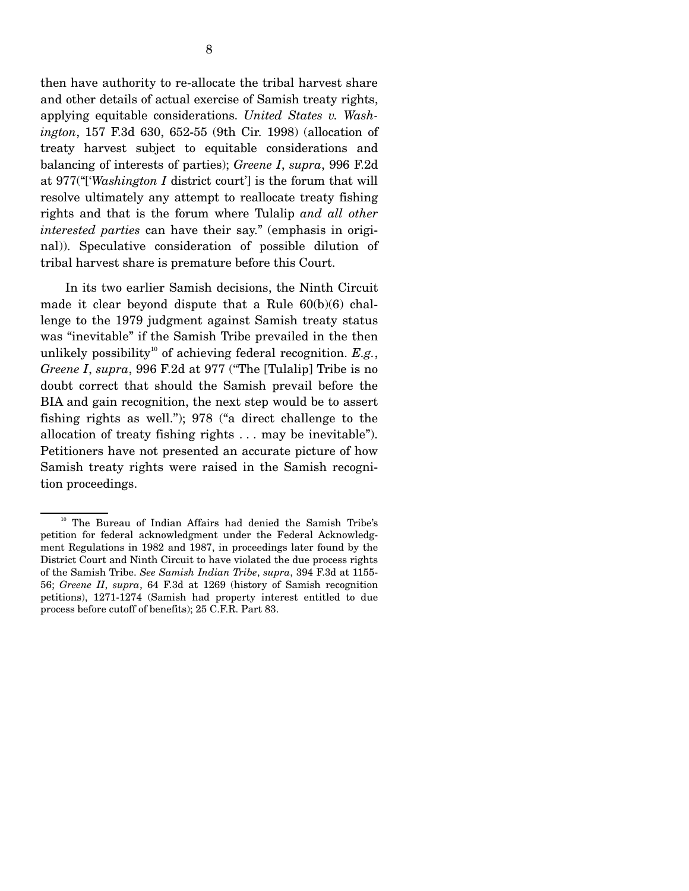then have authority to re-allocate the tribal harvest share and other details of actual exercise of Samish treaty rights, applying equitable considerations. *United States v. Washington*, 157 F.3d 630, 652-55 (9th Cir. 1998) (allocation of treaty harvest subject to equitable considerations and balancing of interests of parties); *Greene I*, *supra*, 996 F.2d at 977("['*Washington I* district court'] is the forum that will resolve ultimately any attempt to reallocate treaty fishing rights and that is the forum where Tulalip *and all other interested parties* can have their say." (emphasis in original)). Speculative consideration of possible dilution of tribal harvest share is premature before this Court.

 In its two earlier Samish decisions, the Ninth Circuit made it clear beyond dispute that a Rule 60(b)(6) challenge to the 1979 judgment against Samish treaty status was "inevitable" if the Samish Tribe prevailed in the then unlikely possibility<sup>10</sup> of achieving federal recognition.  $E.g.,$ *Greene I*, *supra*, 996 F.2d at 977 ("The [Tulalip] Tribe is no doubt correct that should the Samish prevail before the BIA and gain recognition, the next step would be to assert fishing rights as well."); 978 ("a direct challenge to the allocation of treaty fishing rights . . . may be inevitable"). Petitioners have not presented an accurate picture of how Samish treaty rights were raised in the Samish recognition proceedings.

<sup>&</sup>lt;sup>10</sup> The Bureau of Indian Affairs had denied the Samish Tribe's petition for federal acknowledgment under the Federal Acknowledgment Regulations in 1982 and 1987, in proceedings later found by the District Court and Ninth Circuit to have violated the due process rights of the Samish Tribe. *See Samish Indian Tribe*, *supra*, 394 F.3d at 1155- 56; *Greene II*, *supra*, 64 F.3d at 1269 (history of Samish recognition petitions), 1271-1274 (Samish had property interest entitled to due process before cutoff of benefits); 25 C.F.R. Part 83.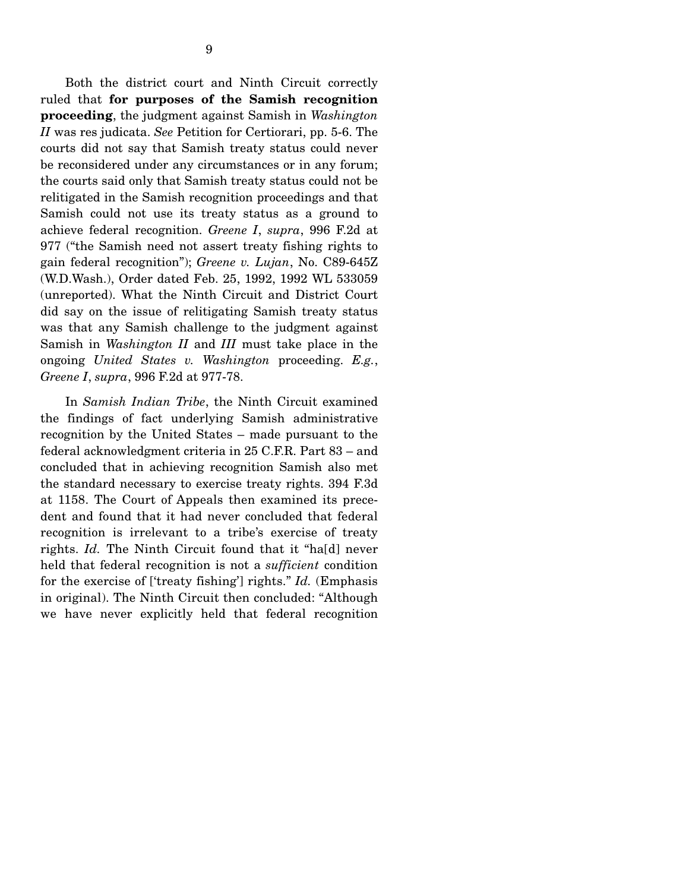Both the district court and Ninth Circuit correctly ruled that **for purposes of the Samish recognition proceeding**, the judgment against Samish in *Washington II* was res judicata. *See* Petition for Certiorari, pp. 5-6. The courts did not say that Samish treaty status could never be reconsidered under any circumstances or in any forum; the courts said only that Samish treaty status could not be relitigated in the Samish recognition proceedings and that Samish could not use its treaty status as a ground to achieve federal recognition. *Greene I*, *supra*, 996 F.2d at 977 ("the Samish need not assert treaty fishing rights to gain federal recognition"); *Greene v. Lujan*, No. C89-645Z (W.D.Wash.), Order dated Feb. 25, 1992, 1992 WL 533059 (unreported). What the Ninth Circuit and District Court did say on the issue of relitigating Samish treaty status was that any Samish challenge to the judgment against Samish in *Washington II* and *III* must take place in the ongoing *United States v. Washington* proceeding. *E.g.*, *Greene I*, *supra*, 996 F.2d at 977-78.

 In *Samish Indian Tribe*, the Ninth Circuit examined the findings of fact underlying Samish administrative recognition by the United States – made pursuant to the federal acknowledgment criteria in 25 C.F.R. Part 83 – and concluded that in achieving recognition Samish also met the standard necessary to exercise treaty rights. 394 F.3d at 1158. The Court of Appeals then examined its precedent and found that it had never concluded that federal recognition is irrelevant to a tribe's exercise of treaty rights. *Id.* The Ninth Circuit found that it "ha[d] never held that federal recognition is not a *sufficient* condition for the exercise of ['treaty fishing'] rights." *Id.* (Emphasis in original). The Ninth Circuit then concluded: "Although we have never explicitly held that federal recognition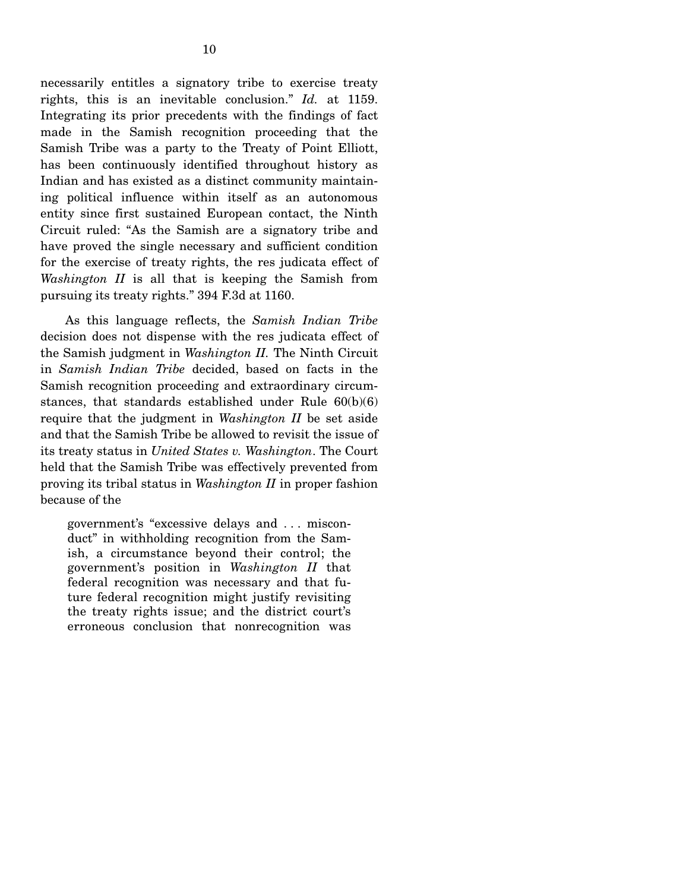necessarily entitles a signatory tribe to exercise treaty rights, this is an inevitable conclusion." *Id.* at 1159. Integrating its prior precedents with the findings of fact made in the Samish recognition proceeding that the Samish Tribe was a party to the Treaty of Point Elliott, has been continuously identified throughout history as Indian and has existed as a distinct community maintaining political influence within itself as an autonomous entity since first sustained European contact, the Ninth Circuit ruled: "As the Samish are a signatory tribe and have proved the single necessary and sufficient condition for the exercise of treaty rights, the res judicata effect of *Washington II* is all that is keeping the Samish from pursuing its treaty rights." 394 F.3d at 1160.

 As this language reflects, the *Samish Indian Tribe* decision does not dispense with the res judicata effect of the Samish judgment in *Washington II.* The Ninth Circuit in *Samish Indian Tribe* decided, based on facts in the Samish recognition proceeding and extraordinary circumstances, that standards established under Rule 60(b)(6) require that the judgment in *Washington II* be set aside and that the Samish Tribe be allowed to revisit the issue of its treaty status in *United States v. Washington*. The Court held that the Samish Tribe was effectively prevented from proving its tribal status in *Washington II* in proper fashion because of the

government's "excessive delays and . . . misconduct" in withholding recognition from the Samish, a circumstance beyond their control; the government's position in *Washington II* that federal recognition was necessary and that future federal recognition might justify revisiting the treaty rights issue; and the district court's erroneous conclusion that nonrecognition was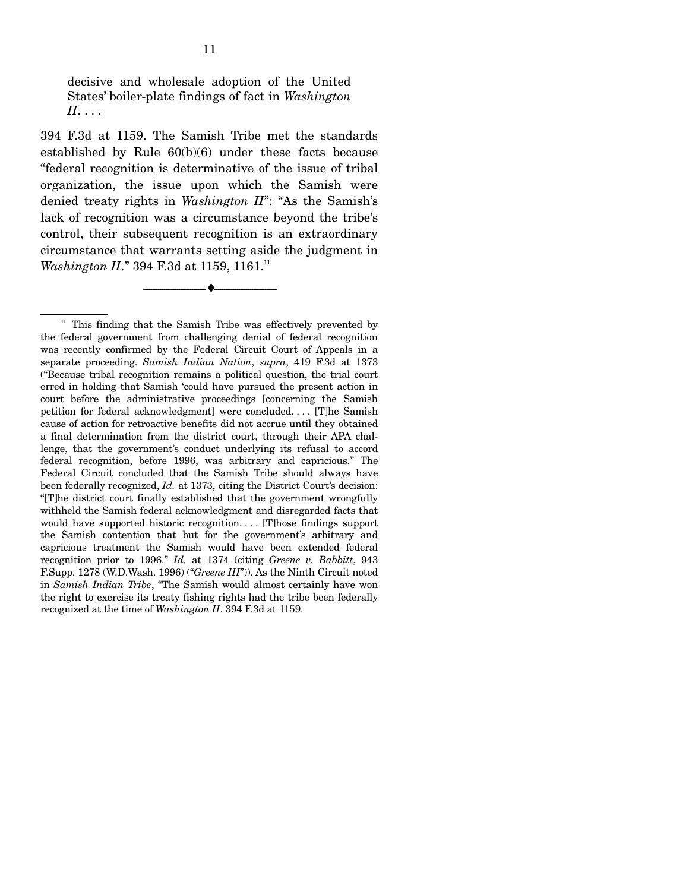decisive and wholesale adoption of the United States' boiler-plate findings of fact in *Washington II*. . . .

394 F.3d at 1159. The Samish Tribe met the standards established by Rule 60(b)(6) under these facts because "federal recognition is determinative of the issue of tribal organization, the issue upon which the Samish were denied treaty rights in *Washington II*": "As the Samish's lack of recognition was a circumstance beyond the tribe's control, their subsequent recognition is an extraordinary circumstance that warrants setting aside the judgment in *Washington II.*" 394 F.3d at 1159, 1161.<sup>11</sup>

--------------------------------- ♦ ---------------------------------

 $11$  This finding that the Samish Tribe was effectively prevented by the federal government from challenging denial of federal recognition was recently confirmed by the Federal Circuit Court of Appeals in a separate proceeding. *Samish Indian Nation*, *supra*, 419 F.3d at 1373 ("Because tribal recognition remains a political question, the trial court erred in holding that Samish 'could have pursued the present action in court before the administrative proceedings [concerning the Samish petition for federal acknowledgment] were concluded. . . . [T]he Samish cause of action for retroactive benefits did not accrue until they obtained a final determination from the district court, through their APA challenge, that the government's conduct underlying its refusal to accord federal recognition, before 1996, was arbitrary and capricious." The Federal Circuit concluded that the Samish Tribe should always have been federally recognized, *Id.* at 1373, citing the District Court's decision: "[T]he district court finally established that the government wrongfully withheld the Samish federal acknowledgment and disregarded facts that would have supported historic recognition. . . . [T]hose findings support the Samish contention that but for the government's arbitrary and capricious treatment the Samish would have been extended federal recognition prior to 1996." *Id.* at 1374 (citing *Greene v. Babbitt*, 943 F.Supp. 1278 (W.D.Wash. 1996) ("*Greene III*")). As the Ninth Circuit noted in *Samish Indian Tribe*, "The Samish would almost certainly have won the right to exercise its treaty fishing rights had the tribe been federally recognized at the time of *Washington II*. 394 F.3d at 1159.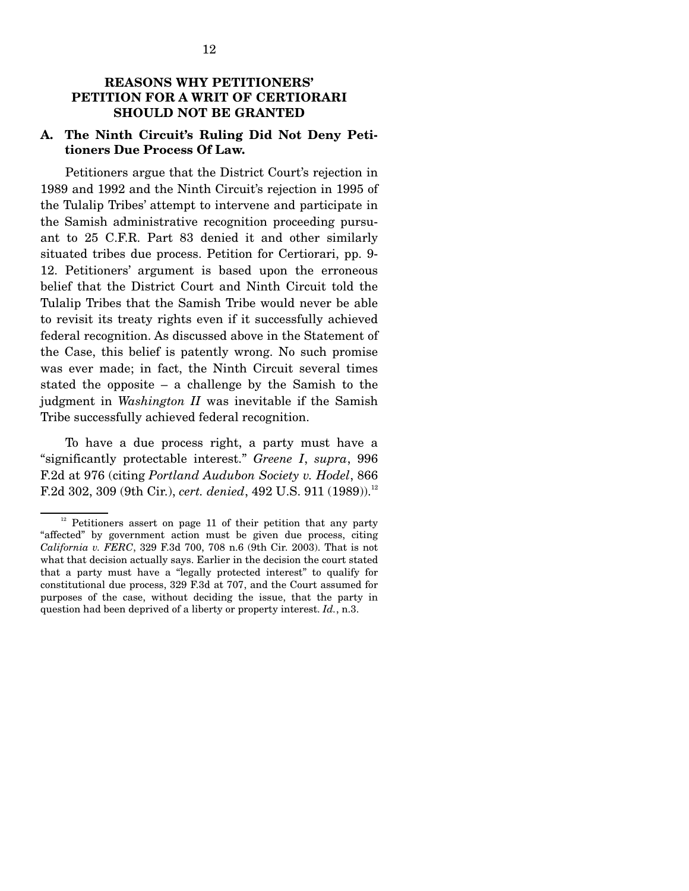### **REASONS WHY PETITIONERS' PETITION FOR A WRIT OF CERTIORARI SHOULD NOT BE GRANTED**

#### **A. The Ninth Circuit's Ruling Did Not Deny Petitioners Due Process Of Law.**

 Petitioners argue that the District Court's rejection in 1989 and 1992 and the Ninth Circuit's rejection in 1995 of the Tulalip Tribes' attempt to intervene and participate in the Samish administrative recognition proceeding pursuant to 25 C.F.R. Part 83 denied it and other similarly situated tribes due process. Petition for Certiorari, pp. 9- 12. Petitioners' argument is based upon the erroneous belief that the District Court and Ninth Circuit told the Tulalip Tribes that the Samish Tribe would never be able to revisit its treaty rights even if it successfully achieved federal recognition. As discussed above in the Statement of the Case, this belief is patently wrong. No such promise was ever made; in fact, the Ninth Circuit several times stated the opposite – a challenge by the Samish to the judgment in *Washington II* was inevitable if the Samish Tribe successfully achieved federal recognition.

 To have a due process right, a party must have a "significantly protectable interest." *Greene I*, *supra*, 996 F.2d at 976 (citing *Portland Audubon Society v. Hodel*, 866 F.2d 302, 309 (9th Cir.), *cert. denied*, 492 U.S. 911 (1989)).<sup>12</sup>

 $12$  Petitioners assert on page 11 of their petition that any party "affected" by government action must be given due process, citing *California v. FERC*, 329 F.3d 700, 708 n.6 (9th Cir. 2003). That is not what that decision actually says. Earlier in the decision the court stated that a party must have a "legally protected interest" to qualify for constitutional due process, 329 F.3d at 707, and the Court assumed for purposes of the case, without deciding the issue, that the party in question had been deprived of a liberty or property interest. *Id.*, n.3.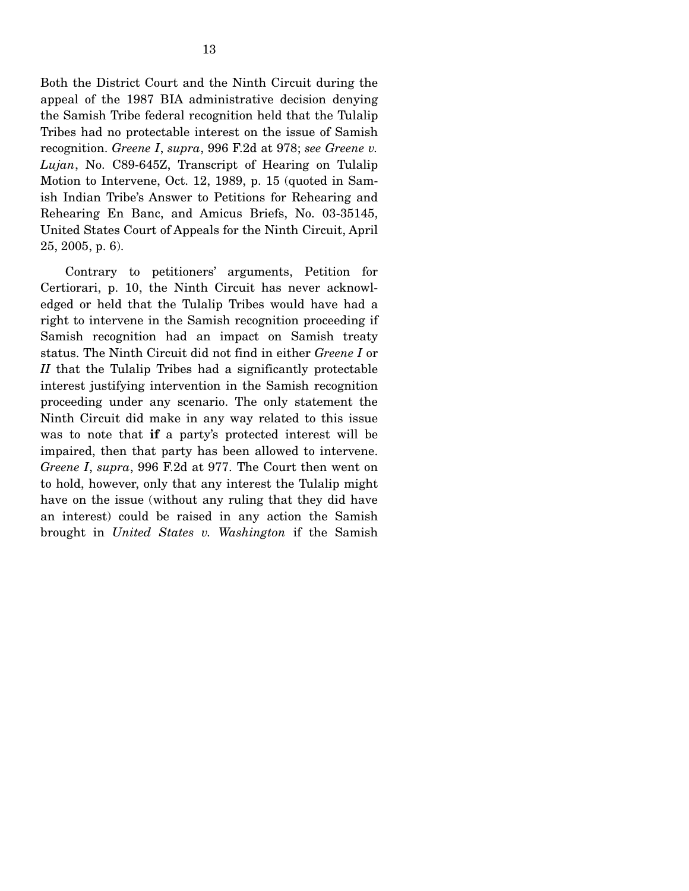Both the District Court and the Ninth Circuit during the appeal of the 1987 BIA administrative decision denying the Samish Tribe federal recognition held that the Tulalip Tribes had no protectable interest on the issue of Samish recognition. *Greene I*, *supra*, 996 F.2d at 978; *see Greene v. Lujan*, No. C89-645Z, Transcript of Hearing on Tulalip Motion to Intervene, Oct. 12, 1989, p. 15 (quoted in Samish Indian Tribe's Answer to Petitions for Rehearing and Rehearing En Banc, and Amicus Briefs, No. 03-35145, United States Court of Appeals for the Ninth Circuit, April 25, 2005, p. 6).

 Contrary to petitioners' arguments, Petition for Certiorari, p. 10, the Ninth Circuit has never acknowledged or held that the Tulalip Tribes would have had a right to intervene in the Samish recognition proceeding if Samish recognition had an impact on Samish treaty status. The Ninth Circuit did not find in either *Greene I* or *II* that the Tulalip Tribes had a significantly protectable interest justifying intervention in the Samish recognition proceeding under any scenario. The only statement the Ninth Circuit did make in any way related to this issue was to note that **if** a party's protected interest will be impaired, then that party has been allowed to intervene. *Greene I*, *supra*, 996 F.2d at 977. The Court then went on to hold, however, only that any interest the Tulalip might have on the issue (without any ruling that they did have an interest) could be raised in any action the Samish brought in *United States v. Washington* if the Samish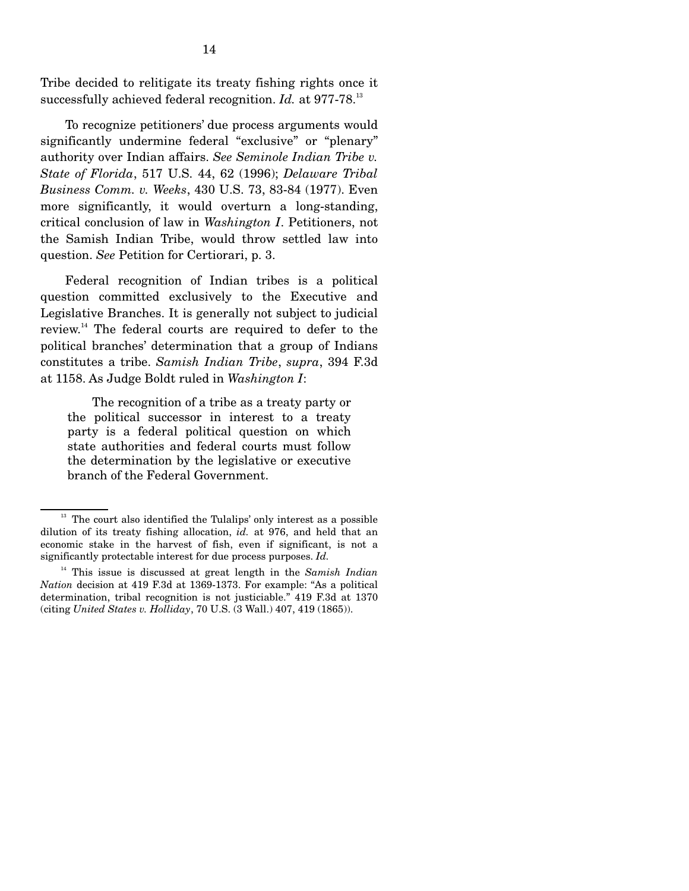Tribe decided to relitigate its treaty fishing rights once it successfully achieved federal recognition. *Id.* at 977-78.<sup>13</sup>

 To recognize petitioners' due process arguments would significantly undermine federal "exclusive" or "plenary" authority over Indian affairs. *See Seminole Indian Tribe v. State of Florida*, 517 U.S. 44, 62 (1996); *Delaware Tribal Business Comm. v. Weeks*, 430 U.S. 73, 83-84 (1977). Even more significantly, it would overturn a long-standing, critical conclusion of law in *Washington I*. Petitioners, not the Samish Indian Tribe, would throw settled law into question. *See* Petition for Certiorari, p. 3.

 Federal recognition of Indian tribes is a political question committed exclusively to the Executive and Legislative Branches. It is generally not subject to judicial review.14 The federal courts are required to defer to the political branches' determination that a group of Indians constitutes a tribe. *Samish Indian Tribe*, *supra*, 394 F.3d at 1158. As Judge Boldt ruled in *Washington I*:

 The recognition of a tribe as a treaty party or the political successor in interest to a treaty party is a federal political question on which state authorities and federal courts must follow the determination by the legislative or executive branch of the Federal Government.

 $13$  The court also identified the Tulalips' only interest as a possible dilution of its treaty fishing allocation, *id.* at 976, and held that an economic stake in the harvest of fish, even if significant, is not a significantly protectable interest for due process purposes. *Id.*

14 This issue is discussed at great length in the *Samish Indian Nation* decision at 419 F.3d at 1369-1373. For example: "As a political determination, tribal recognition is not justiciable." 419 F.3d at 1370 (citing *United States v. Holliday*, 70 U.S. (3 Wall.) 407, 419 (1865)).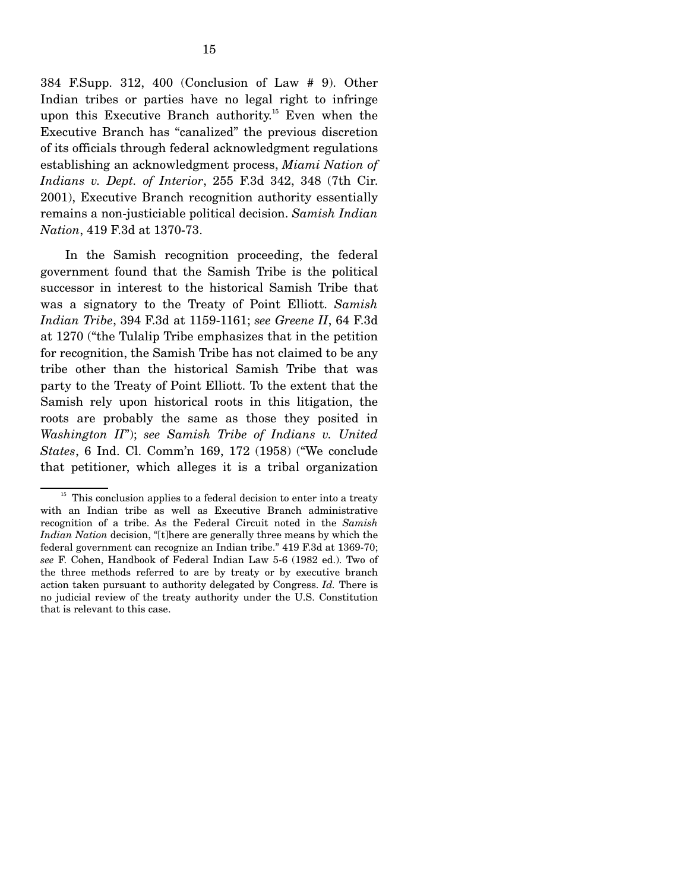384 F.Supp. 312, 400 (Conclusion of Law # 9). Other Indian tribes or parties have no legal right to infringe upon this Executive Branch authority.<sup>15</sup> Even when the Executive Branch has "canalized" the previous discretion of its officials through federal acknowledgment regulations establishing an acknowledgment process, *Miami Nation of Indians v. Dept. of Interior*, 255 F.3d 342, 348 (7th Cir. 2001), Executive Branch recognition authority essentially remains a non-justiciable political decision. *Samish Indian Nation*, 419 F.3d at 1370-73.

 In the Samish recognition proceeding, the federal government found that the Samish Tribe is the political successor in interest to the historical Samish Tribe that was a signatory to the Treaty of Point Elliott. *Samish Indian Tribe*, 394 F.3d at 1159-1161; *see Greene II*, 64 F.3d at 1270 ("the Tulalip Tribe emphasizes that in the petition for recognition, the Samish Tribe has not claimed to be any tribe other than the historical Samish Tribe that was party to the Treaty of Point Elliott. To the extent that the Samish rely upon historical roots in this litigation, the roots are probably the same as those they posited in *Washington II*"); *see Samish Tribe of Indians v. United States*, 6 Ind. Cl. Comm'n 169, 172 (1958) ("We conclude that petitioner, which alleges it is a tribal organization

 $15$  This conclusion applies to a federal decision to enter into a treaty with an Indian tribe as well as Executive Branch administrative recognition of a tribe. As the Federal Circuit noted in the *Samish Indian Nation* decision, "[t]here are generally three means by which the federal government can recognize an Indian tribe." 419 F.3d at 1369-70; *see* F. Cohen, Handbook of Federal Indian Law 5-6 (1982 ed.). Two of the three methods referred to are by treaty or by executive branch action taken pursuant to authority delegated by Congress. *Id.* There is no judicial review of the treaty authority under the U.S. Constitution that is relevant to this case.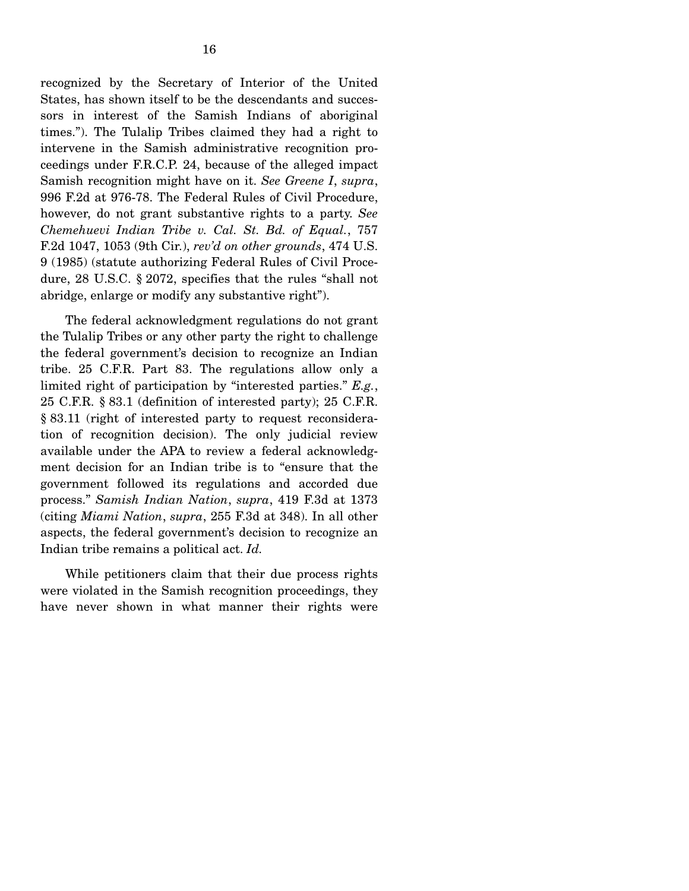recognized by the Secretary of Interior of the United States, has shown itself to be the descendants and successors in interest of the Samish Indians of aboriginal times."). The Tulalip Tribes claimed they had a right to intervene in the Samish administrative recognition proceedings under F.R.C.P. 24, because of the alleged impact Samish recognition might have on it. *See Greene I*, *supra*, 996 F.2d at 976-78. The Federal Rules of Civil Procedure, however, do not grant substantive rights to a party. *See Chemehuevi Indian Tribe v. Cal. St. Bd. of Equal.*, 757 F.2d 1047, 1053 (9th Cir.), *rev'd on other grounds*, 474 U.S. 9 (1985) (statute authorizing Federal Rules of Civil Procedure, 28 U.S.C. § 2072, specifies that the rules "shall not abridge, enlarge or modify any substantive right").

 The federal acknowledgment regulations do not grant the Tulalip Tribes or any other party the right to challenge the federal government's decision to recognize an Indian tribe. 25 C.F.R. Part 83. The regulations allow only a limited right of participation by "interested parties." *E.g.*, 25 C.F.R. § 83.1 (definition of interested party); 25 C.F.R. § 83.11 (right of interested party to request reconsideration of recognition decision). The only judicial review available under the APA to review a federal acknowledgment decision for an Indian tribe is to "ensure that the government followed its regulations and accorded due process." *Samish Indian Nation*, *supra*, 419 F.3d at 1373 (citing *Miami Nation*, *supra*, 255 F.3d at 348). In all other aspects, the federal government's decision to recognize an Indian tribe remains a political act. *Id.*

 While petitioners claim that their due process rights were violated in the Samish recognition proceedings, they have never shown in what manner their rights were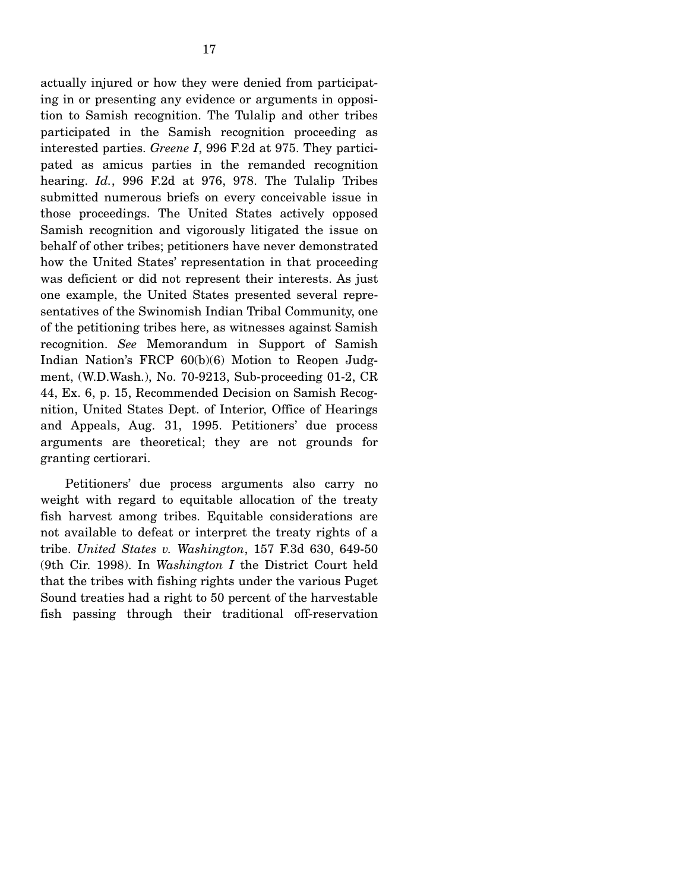actually injured or how they were denied from participating in or presenting any evidence or arguments in opposition to Samish recognition. The Tulalip and other tribes participated in the Samish recognition proceeding as interested parties. *Greene I*, 996 F.2d at 975. They participated as amicus parties in the remanded recognition hearing. *Id.*, 996 F.2d at 976, 978. The Tulalip Tribes submitted numerous briefs on every conceivable issue in those proceedings. The United States actively opposed Samish recognition and vigorously litigated the issue on behalf of other tribes; petitioners have never demonstrated how the United States' representation in that proceeding was deficient or did not represent their interests. As just one example, the United States presented several representatives of the Swinomish Indian Tribal Community, one of the petitioning tribes here, as witnesses against Samish recognition. *See* Memorandum in Support of Samish Indian Nation's FRCP 60(b)(6) Motion to Reopen Judgment, (W.D.Wash.), No. 70-9213, Sub-proceeding 01-2, CR 44, Ex. 6, p. 15, Recommended Decision on Samish Recognition, United States Dept. of Interior, Office of Hearings and Appeals, Aug. 31, 1995. Petitioners' due process arguments are theoretical; they are not grounds for granting certiorari.

 Petitioners' due process arguments also carry no weight with regard to equitable allocation of the treaty fish harvest among tribes. Equitable considerations are not available to defeat or interpret the treaty rights of a tribe. *United States v. Washington*, 157 F.3d 630, 649-50 (9th Cir. 1998). In *Washington I* the District Court held that the tribes with fishing rights under the various Puget Sound treaties had a right to 50 percent of the harvestable fish passing through their traditional off-reservation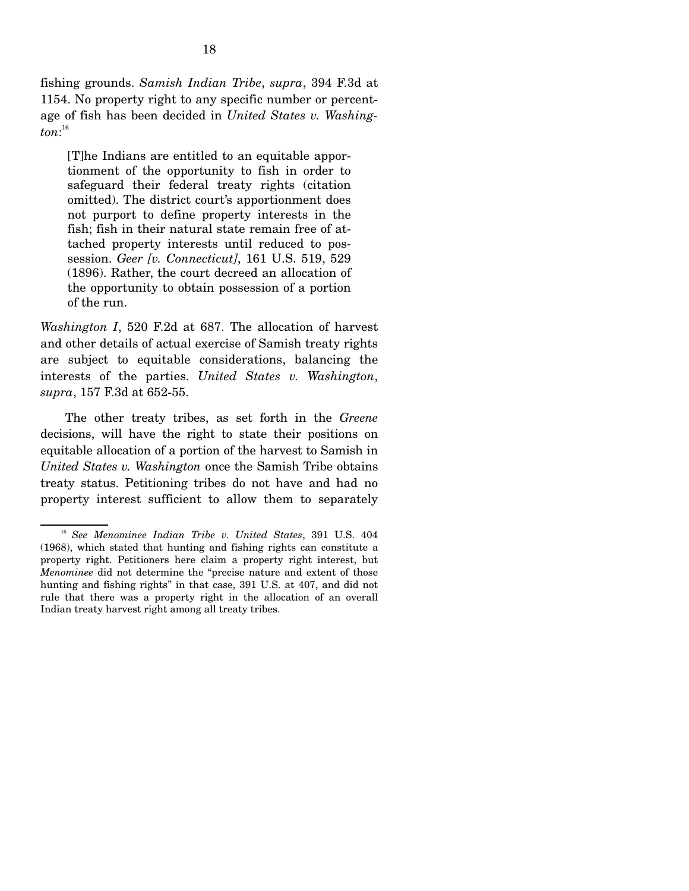fishing grounds. *Samish Indian Tribe*, *supra*, 394 F.3d at 1154. No property right to any specific number or percentage of fish has been decided in *United States v. Washington*: 16

[T]he Indians are entitled to an equitable apportionment of the opportunity to fish in order to safeguard their federal treaty rights (citation omitted). The district court's apportionment does not purport to define property interests in the fish; fish in their natural state remain free of attached property interests until reduced to possession. *Geer [v. Connecticut]*, 161 U.S. 519, 529 (1896). Rather, the court decreed an allocation of the opportunity to obtain possession of a portion of the run.

*Washington I*, 520 F.2d at 687. The allocation of harvest and other details of actual exercise of Samish treaty rights are subject to equitable considerations, balancing the interests of the parties. *United States v. Washington*, *supra*, 157 F.3d at 652-55.

 The other treaty tribes, as set forth in the *Greene* decisions, will have the right to state their positions on equitable allocation of a portion of the harvest to Samish in *United States v. Washington* once the Samish Tribe obtains treaty status. Petitioning tribes do not have and had no property interest sufficient to allow them to separately

<sup>16</sup> *See Menominee Indian Tribe v. United States*, 391 U.S. 404 (1968), which stated that hunting and fishing rights can constitute a property right. Petitioners here claim a property right interest, but *Menominee* did not determine the "precise nature and extent of those hunting and fishing rights" in that case, 391 U.S. at 407, and did not rule that there was a property right in the allocation of an overall Indian treaty harvest right among all treaty tribes.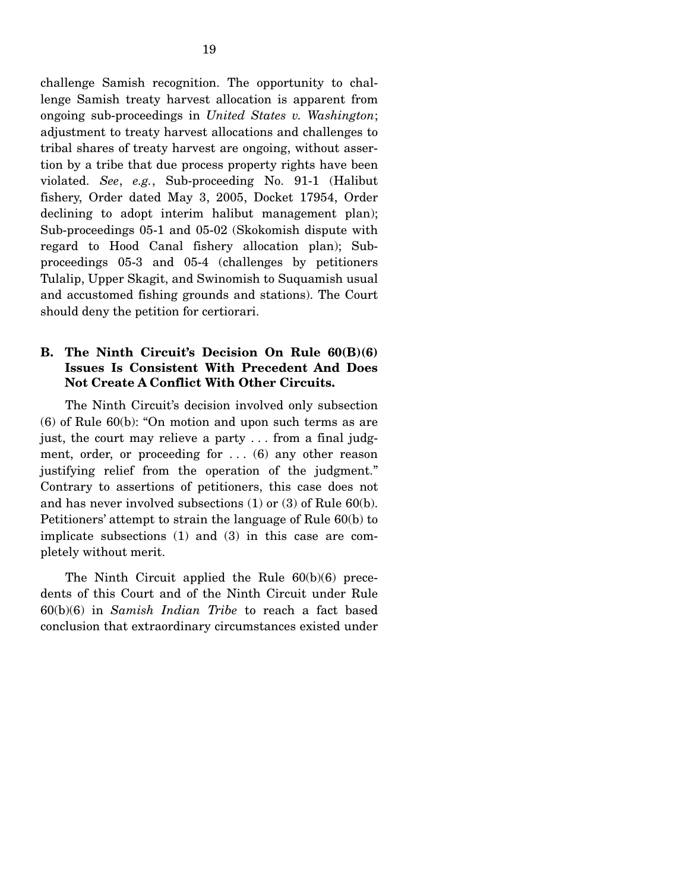challenge Samish recognition. The opportunity to challenge Samish treaty harvest allocation is apparent from ongoing sub-proceedings in *United States v. Washington*; adjustment to treaty harvest allocations and challenges to tribal shares of treaty harvest are ongoing, without assertion by a tribe that due process property rights have been violated. *See*, *e.g.*, Sub-proceeding No. 91-1 (Halibut fishery, Order dated May 3, 2005, Docket 17954, Order declining to adopt interim halibut management plan); Sub-proceedings 05-1 and 05-02 (Skokomish dispute with regard to Hood Canal fishery allocation plan); Subproceedings 05-3 and 05-4 (challenges by petitioners Tulalip, Upper Skagit, and Swinomish to Suquamish usual and accustomed fishing grounds and stations). The Court should deny the petition for certiorari.

### **B. The Ninth Circuit's Decision On Rule 60(B)(6) Issues Is Consistent With Precedent And Does Not Create A Conflict With Other Circuits.**

 The Ninth Circuit's decision involved only subsection (6) of Rule 60(b): "On motion and upon such terms as are just, the court may relieve a party . . . from a final judgment, order, or proceeding for  $\dots$  (6) any other reason justifying relief from the operation of the judgment." Contrary to assertions of petitioners, this case does not and has never involved subsections (1) or (3) of Rule 60(b). Petitioners' attempt to strain the language of Rule 60(b) to implicate subsections (1) and (3) in this case are completely without merit.

 The Ninth Circuit applied the Rule 60(b)(6) precedents of this Court and of the Ninth Circuit under Rule 60(b)(6) in *Samish Indian Tribe* to reach a fact based conclusion that extraordinary circumstances existed under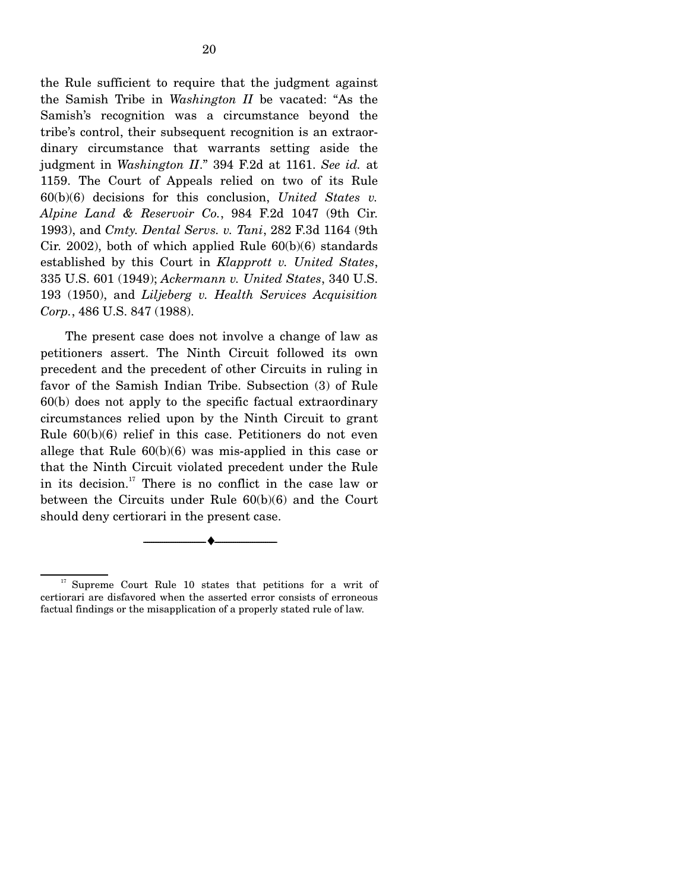the Rule sufficient to require that the judgment against the Samish Tribe in *Washington II* be vacated: "As the Samish's recognition was a circumstance beyond the tribe's control, their subsequent recognition is an extraordinary circumstance that warrants setting aside the judgment in *Washington II*." 394 F.2d at 1161. *See id.* at 1159. The Court of Appeals relied on two of its Rule 60(b)(6) decisions for this conclusion, *United States v. Alpine Land & Reservoir Co.*, 984 F.2d 1047 (9th Cir. 1993), and *Cmty. Dental Servs. v. Tani*, 282 F.3d 1164 (9th Cir. 2002), both of which applied Rule 60(b)(6) standards established by this Court in *Klapprott v. United States*, 335 U.S. 601 (1949); *Ackermann v. United States*, 340 U.S. 193 (1950), and *Liljeberg v. Health Services Acquisition Corp.*, 486 U.S. 847 (1988).

 The present case does not involve a change of law as petitioners assert. The Ninth Circuit followed its own precedent and the precedent of other Circuits in ruling in favor of the Samish Indian Tribe. Subsection (3) of Rule 60(b) does not apply to the specific factual extraordinary circumstances relied upon by the Ninth Circuit to grant Rule 60(b)(6) relief in this case. Petitioners do not even allege that Rule 60(b)(6) was mis-applied in this case or that the Ninth Circuit violated precedent under the Rule in its decision.<sup>17</sup> There is no conflict in the case law or between the Circuits under Rule 60(b)(6) and the Court should deny certiorari in the present case.

--------------------------------- ♦ ---------------------------------

<sup>&</sup>lt;sup>17</sup> Supreme Court Rule 10 states that petitions for a writ of certiorari are disfavored when the asserted error consists of erroneous factual findings or the misapplication of a properly stated rule of law.